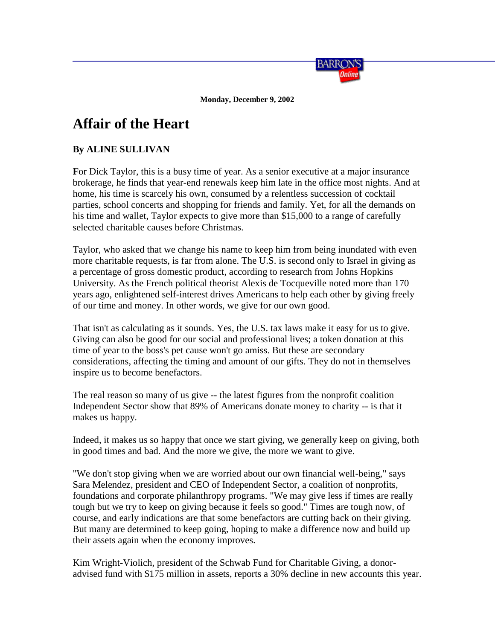

**Monday, December 9, 2002**

## **Affair of the Heart**

## **By ALINE SULLIVAN**

**F**or Dick Taylor, this is a busy time of year. As a senior executive at a major insurance brokerage, he finds that year-end renewals keep him late in the office most nights. And at home, his time is scarcely his own, consumed by a relentless succession of cocktail parties, school concerts and shopping for friends and family. Yet, for all the demands on his time and wallet, Taylor expects to give more than \$15,000 to a range of carefully selected charitable causes before Christmas.

Taylor, who asked that we change his name to keep him from being inundated with even more charitable requests, is far from alone. The U.S. is second only to Israel in giving as a percentage of gross domestic product, according to research from Johns Hopkins University. As the French political theorist Alexis de Tocqueville noted more than 170 years ago, enlightened self-interest drives Americans to help each other by giving freely of our time and money. In other words, we give for our own good.

That isn't as calculating as it sounds. Yes, the U.S. tax laws make it easy for us to give. Giving can also be good for our social and professional lives; a token donation at this time of year to the boss's pet cause won't go amiss. But these are secondary considerations, affecting the timing and amount of our gifts. They do not in themselves inspire us to become benefactors.

The real reason so many of us give -- the latest figures from the nonprofit coalition Independent Sector show that 89% of Americans donate money to charity -- is that it makes us happy.

Indeed, it makes us so happy that once we start giving, we generally keep on giving, both in good times and bad. And the more we give, the more we want to give.

"We don't stop giving when we are worried about our own financial well-being," says Sara Melendez, president and CEO of Independent Sector, a coalition of nonprofits, foundations and corporate philanthropy programs. "We may give less if times are really tough but we try to keep on giving because it feels so good." Times are tough now, of course, and early indications are that some benefactors are cutting back on their giving. But many are determined to keep going, hoping to make a difference now and build up their assets again when the economy improves.

Kim Wright-Violich, president of the Schwab Fund for Charitable Giving, a donoradvised fund with \$175 million in assets, reports a 30% decline in new accounts this year.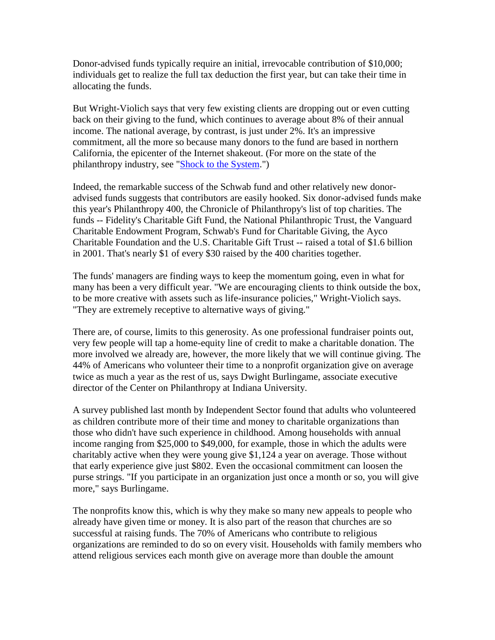Donor-advised funds typically require an initial, irrevocable contribution of \$10,000; individuals get to realize the full tax deduction the first year, but can take their time in allocating the funds.

But Wright-Violich says that very few existing clients are dropping out or even cutting back on their giving to the fund, which continues to average about 8% of their annual income. The national average, by contrast, is just under 2%. It's an impressive commitment, all the more so because many donors to the fund are based in northern California, the epicenter of the Internet shakeout. (For more on the state of the philanthropy industry, see ["Shock to the System.](http://online.wsj.com/barrons/article/0,,SB103923467438305593,00.html?mod=article-outset-box)")

Indeed, the remarkable success of the Schwab fund and other relatively new donoradvised funds suggests that contributors are easily hooked. Six donor-advised funds make this year's Philanthropy 400, the Chronicle of Philanthropy's list of top charities. The funds -- Fidelity's Charitable Gift Fund, the National Philanthropic Trust, the Vanguard Charitable Endowment Program, Schwab's Fund for Charitable Giving, the Ayco Charitable Foundation and the U.S. Charitable Gift Trust -- raised a total of \$1.6 billion in 2001. That's nearly \$1 of every \$30 raised by the 400 charities together.

The funds' managers are finding ways to keep the momentum going, even in what for many has been a very difficult year. "We are encouraging clients to think outside the box, to be more creative with assets such as life-insurance policies," Wright-Violich says. "They are extremely receptive to alternative ways of giving."

There are, of course, limits to this generosity. As one professional fundraiser points out, very few people will tap a home-equity line of credit to make a charitable donation. The more involved we already are, however, the more likely that we will continue giving. The 44% of Americans who volunteer their time to a nonprofit organization give on average twice as much a year as the rest of us, says Dwight Burlingame, associate executive director of the Center on Philanthropy at Indiana University.

A survey published last month by Independent Sector found that adults who volunteered as children contribute more of their time and money to charitable organizations than those who didn't have such experience in childhood. Among households with annual income ranging from \$25,000 to \$49,000, for example, those in which the adults were charitably active when they were young give \$1,124 a year on average. Those without that early experience give just \$802. Even the occasional commitment can loosen the purse strings. "If you participate in an organization just once a month or so, you will give more," says Burlingame.

The nonprofits know this, which is why they make so many new appeals to people who already have given time or money. It is also part of the reason that churches are so successful at raising funds. The 70% of Americans who contribute to religious organizations are reminded to do so on every visit. Households with family members who attend religious services each month give on average more than double the amount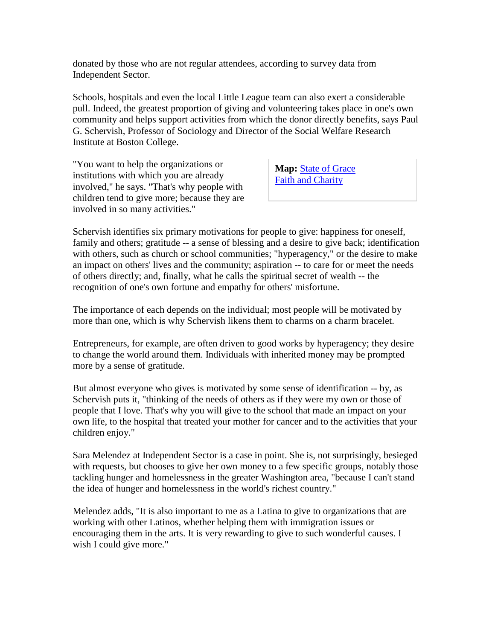donated by those who are not regular attendees, according to survey data from Independent Sector.

Schools, hospitals and even the local Little League team can also exert a considerable pull. Indeed, the greatest proportion of giving and volunteering takes place in one's own community and helps support activities from which the donor directly benefits, says Paul G. Schervish, Professor of Sociology and Director of the Social Welfare Research Institute at Boston College.

"You want to help the organizations or institutions with which you are already involved," he says. "That's why people with children tend to give more; because they are involved in so many activities."

**Map:** [State of Grace](http://online.wsj.com/barrons/article/0,,SB1039242401749120273,00.html?mod=article-outset-box) [Faith and Charity](http://online.wsj.com/barrons/article_barrons_print/0,4313,SB1039146874393086073,00.html#SIDEBAR#SIDEBAR)

Schervish identifies six primary motivations for people to give: happiness for oneself, family and others; gratitude -- a sense of blessing and a desire to give back; identification with others, such as church or school communities; "hyperagency," or the desire to make an impact on others' lives and the community; aspiration -- to care for or meet the needs of others directly; and, finally, what he calls the spiritual secret of wealth -- the recognition of one's own fortune and empathy for others' misfortune.

The importance of each depends on the individual; most people will be motivated by more than one, which is why Schervish likens them to charms on a charm bracelet.

Entrepreneurs, for example, are often driven to good works by hyperagency; they desire to change the world around them. Individuals with inherited money may be prompted more by a sense of gratitude.

But almost everyone who gives is motivated by some sense of identification -- by, as Schervish puts it, "thinking of the needs of others as if they were my own or those of people that I love. That's why you will give to the school that made an impact on your own life, to the hospital that treated your mother for cancer and to the activities that your children enjoy."

Sara Melendez at Independent Sector is a case in point. She is, not surprisingly, besieged with requests, but chooses to give her own money to a few specific groups, notably those tackling hunger and homelessness in the greater Washington area, "because I can't stand the idea of hunger and homelessness in the world's richest country."

Melendez adds, "It is also important to me as a Latina to give to organizations that are working with other Latinos, whether helping them with immigration issues or encouraging them in the arts. It is very rewarding to give to such wonderful causes. I wish I could give more."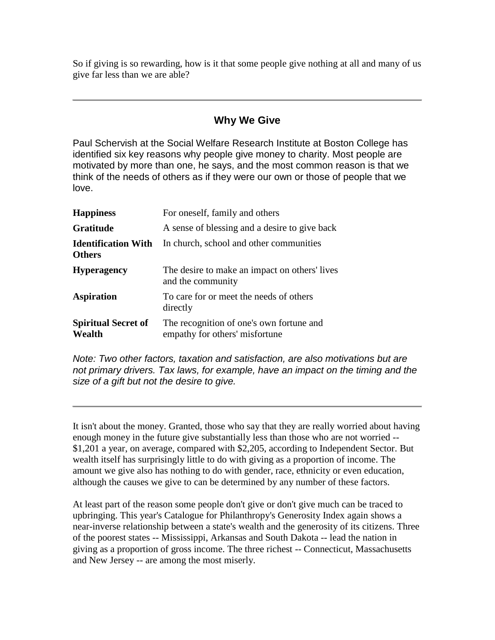So if giving is so rewarding, how is it that some people give nothing at all and many of us give far less than we are able?

## **Why We Give**

Paul Schervish at the Social Welfare Research Institute at Boston College has identified six key reasons why people give money to charity. Most people are motivated by more than one, he says, and the most common reason is that we think of the needs of others as if they were our own or those of people that we love.

| <b>Happiness</b>                            | For oneself, family and others                                             |
|---------------------------------------------|----------------------------------------------------------------------------|
| <b>Gratitude</b>                            | A sense of blessing and a desire to give back                              |
| <b>Identification With</b><br><b>Others</b> | In church, school and other communities                                    |
| <b>Hyperagency</b>                          | The desire to make an impact on others' lives<br>and the community         |
| <b>Aspiration</b>                           | To care for or meet the needs of others<br>directly                        |
| <b>Spiritual Secret of</b><br>Wealth        | The recognition of one's own fortune and<br>empathy for others' misfortune |

*Note: Two other factors, taxation and satisfaction, are also motivations but are not primary drivers. Tax laws, for example, have an impact on the timing and the size of a gift but not the desire to give.*

It isn't about the money. Granted, those who say that they are really worried about having enough money in the future give substantially less than those who are not worried -- \$1,201 a year, on average, compared with \$2,205, according to Independent Sector. But wealth itself has surprisingly little to do with giving as a proportion of income. The amount we give also has nothing to do with gender, race, ethnicity or even education, although the causes we give to can be determined by any number of these factors.

At least part of the reason some people don't give or don't give much can be traced to upbringing. This year's Catalogue for Philanthropy's Generosity Index again shows a near-inverse relationship between a state's wealth and the generosity of its citizens. Three of the poorest states -- Mississippi, Arkansas and South Dakota -- lead the nation in giving as a proportion of gross income. The three richest -- Connecticut, Massachusetts and New Jersey -- are among the most miserly.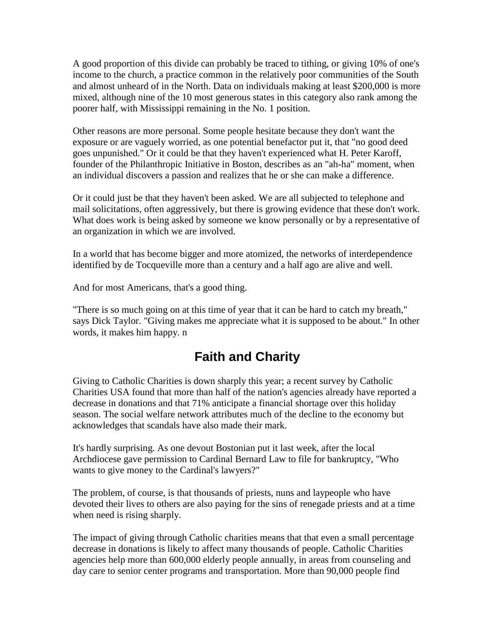A good proportion of this divide can probably be traced to tithing, or giving 10% of one's income to the church, a practice common in the relatively poor communities of the South and almost unheard of in the North. Data on individuals making at least \$200,000 is more mixed, although nine of the 10 most generous states in this category also rank among the poorer half, with Mississippi remaining in the No. 1 position.

Other reasons are more personal. Some people hesitate because they don't want the exposure or are vaguely worried, as one potential benefactor put it, that "no good deed goes unpunished." Or it could be that they haven't experienced what H. Peter Karoff, founder of the Philanthropic Initiative in Boston, describes as an "ah-ha" moment, when an individual discovers a passion and realizes that he or she can make a difference.

Or it could just be that they haven't been asked. We are all subjected to telephone and mail solicitations, often aggressively, but there is growing evidence that these don't work. What does work is being asked by someone we know personally or by a representative of an organization in which we are involved.

In a world that has become bigger and more atomized, the networks of interdependence identified by de Tocqueville more than a century and a half ago are alive and well.

And for most Americans, that's a good thing.

"There is so much going on at this time of year that it can be hard to catch my breath," says Dick Taylor. "Giving makes me appreciate what it is supposed to be about." In other words, it makes him happy. n

## **Faith and Charity**

Giving to Catholic Charities is down sharply this year; a recent survey by Catholic Charities USA found that more than half of the nation's agencies already have reported a decrease in donations and that 71% anticipate a financial shortage over this holiday season. The social welfare network attributes much of the decline to the economy but acknowledges that scandals have also made their mark.

It's hardly surprising. As one devout Bostonian put it last week, after the local Archdiocese gave permission to Cardinal Bernard Law to file for bankruptcy, "Who wants to give money to the Cardinal's lawyers?"

The problem, of course, is that thousands of priests, nuns and laypeople who have devoted their lives to others are also paying for the sins of renegade priests and at a time when need is rising sharply.

The impact of giving through Catholic charities means that that even a small percentage decrease in donations is likely to affect many thousands of people. Catholic Charities agencies help more than 600,000 elderly people annually, in areas from counseling and day care to senior center programs and transportation. More than 90,000 people find